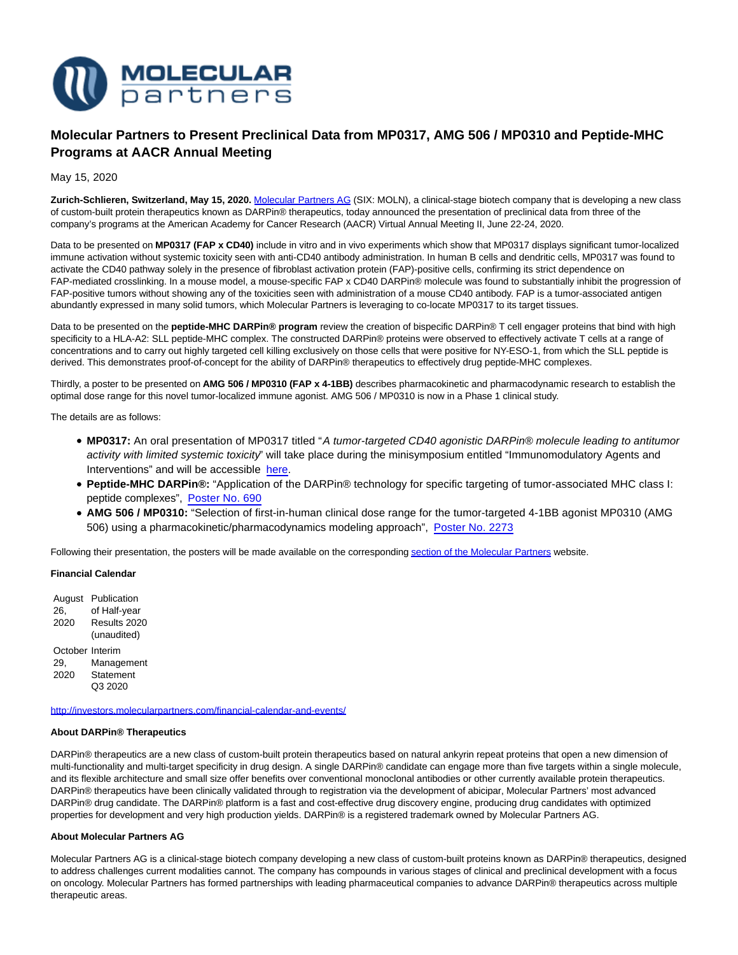

# **Molecular Partners to Present Preclinical Data from MP0317, AMG 506 / MP0310 and Peptide-MHC Programs at AACR Annual Meeting**

May 15, 2020

**Zurich-Schlieren, Switzerland, May 15, 2020.** [Molecular Partners AG \(](https://www.molecularpartners.com/)SIX: MOLN), a clinical-stage biotech company that is developing a new class of custom-built protein therapeutics known as DARPin® therapeutics, today announced the presentation of preclinical data from three of the company's programs at the American Academy for Cancer Research (AACR) Virtual Annual Meeting II, June 22-24, 2020.

Data to be presented on **MP0317 (FAP x CD40)** include in vitro and in vivo experiments which show that MP0317 displays significant tumor-localized immune activation without systemic toxicity seen with anti-CD40 antibody administration. In human B cells and dendritic cells, MP0317 was found to activate the CD40 pathway solely in the presence of fibroblast activation protein (FAP)-positive cells, confirming its strict dependence on FAP-mediated crosslinking. In a mouse model, a mouse-specific FAP x CD40 DARPin® molecule was found to substantially inhibit the progression of FAP-positive tumors without showing any of the toxicities seen with administration of a mouse CD40 antibody. FAP is a tumor-associated antigen abundantly expressed in many solid tumors, which Molecular Partners is leveraging to co-locate MP0317 to its target tissues.

Data to be presented on the **peptide-MHC DARPin® program** review the creation of bispecific DARPin® T cell engager proteins that bind with high specificity to a HLA-A2: SLL peptide-MHC complex. The constructed DARPin® proteins were observed to effectively activate T cells at a range of concentrations and to carry out highly targeted cell killing exclusively on those cells that were positive for NY-ESO-1, from which the SLL peptide is derived. This demonstrates proof-of-concept for the ability of DARPin® therapeutics to effectively drug peptide-MHC complexes.

Thirdly, a poster to be presented on **AMG 506 / MP0310 (FAP x 4-1BB)** describes pharmacokinetic and pharmacodynamic research to establish the optimal dose range for this novel tumor-localized immune agonist. AMG 506 / MP0310 is now in a Phase 1 clinical study.

The details are as follows:

- **MP0317:** An oral presentation of MP0317 titled "A tumor-targeted CD40 agonistic DARPin® molecule leading to antitumor activity with limited systemic toxicity" will take place during the minisymposium entitled "Immunomodulatory Agents and Interventions" and will be accessible [here.](https://www.abstractsonline.com/pp8/#!/9045/presentation/6912)
- **Peptide-MHC DARPin®:** "Application of the DARPin® technology for specific targeting of tumor-associated MHC class I: peptide complexes", [Poster No. 690](https://www.abstractsonline.com/pp8/#!/9045/presentation/2412)
- **AMG 506 / MP0310:** "Selection of first-in-human clinical dose range for the tumor-targeted 4-1BB agonist MP0310 (AMG 506) using a pharmacokinetic/pharmacodynamics modeling approach", [Poster No. 2273](https://www.abstractsonline.com/pp8/#!/9045/presentation/7638)

Following their presentation, the posters will be made available on the correspondin[g section of the Molecular Partners w](http://investors.molecularpartners.com/investor-and-scientific-documents/scientific-presentations)ebsite.

## **Financial Calendar**

August Publication 26, 2020 of Half-year Results 2020 (unaudited) October Interim 29, 2020 Management **Statement** Q3 2020

<http://investors.molecularpartners.com/financial-calendar-and-events/>

#### **About DARPin® Therapeutics**

DARPin® therapeutics are a new class of custom-built protein therapeutics based on natural ankyrin repeat proteins that open a new dimension of multi-functionality and multi-target specificity in drug design. A single DARPin® candidate can engage more than five targets within a single molecule, and its flexible architecture and small size offer benefits over conventional monoclonal antibodies or other currently available protein therapeutics. DARPin® therapeutics have been clinically validated through to registration via the development of abicipar, Molecular Partners' most advanced DARPin® drug candidate. The DARPin® platform is a fast and cost-effective drug discovery engine, producing drug candidates with optimized properties for development and very high production yields. DARPin® is a registered trademark owned by Molecular Partners AG.

#### **About Molecular Partners AG**

Molecular Partners AG is a clinical-stage biotech company developing a new class of custom-built proteins known as DARPin® therapeutics, designed to address challenges current modalities cannot. The company has compounds in various stages of clinical and preclinical development with a focus on oncology. Molecular Partners has formed partnerships with leading pharmaceutical companies to advance DARPin® therapeutics across multiple therapeutic areas.